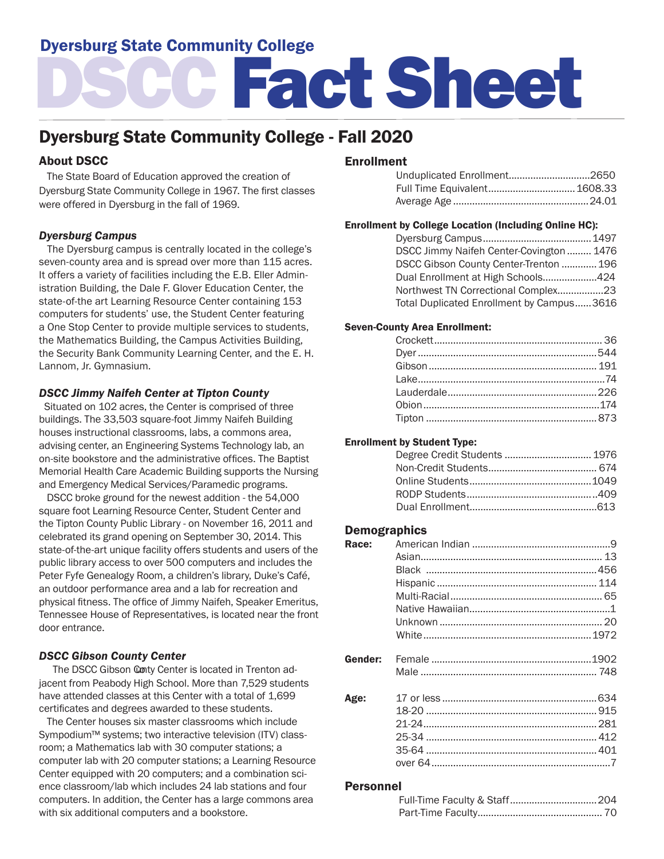# Dyersburg State Community College

# DSCC Fact Sheet

# Dyersburg State Community College - Fall 2020

## About DSCC

 The State Board of Education approved the creation of Dyersburg State Community College in 1967. The first classes were offered in Dyersburg in the fall of 1969.

#### *Dyersburg Campus*

 The Dyersburg campus is centrally located in the college's seven-county area and is spread over more than 115 acres. It offers a variety of facilities including the E.B. Eller Administration Building, the Dale F. Glover Education Center, the state-of-the art Learning Resource Center containing 153 computers for students' use, the Student Center featuring a One Stop Center to provide multiple services to students, the Mathematics Building, the Campus Activities Building, the Security Bank Community Learning Center, and the E. H. Lannom, Jr. Gymnasium.

#### *DSCC Jimmy Naifeh Center at Tipton County*

 Situated on 102 acres, the Center is comprised of three buildings. The 33,503 square-foot Jimmy Naifeh Building houses instructional classrooms, labs, a commons area, advising center, an Engineering Systems Technology lab, an on-site bookstore and the administrative offices. The Baptist Memorial Health Care Academic Building supports the Nursing and Emergency Medical Services/Paramedic programs.

 DSCC broke ground for the newest addition - the 54,000 square foot Learning Resource Center, Student Center and the Tipton County Public Library - on November 16, 2011 and celebrated its grand opening on September 30, 2014. This state-of-the-art unique facility offers students and users of the public library access to over 500 computers and includes the Peter Fyfe Genealogy Room, a children's library, Duke's Café, an outdoor performance area and a lab for recreation and physical fitness. The office of Jimmy Naifeh, Speaker Emeritus, Tennessee House of Representatives, is located near the front door entrance.

### *DSCC Gibson County Center*

The DSCC Gibson Conty Center is located in Trenton adjacent from Peabody High School. More than 7,529 students have attended classes at this Center with a total of 1,699 certificates and degrees awarded to these students.

 The Center houses six master classrooms which include Sympodium™ systems; two interactive television (ITV) classroom; a Mathematics lab with 30 computer stations; a computer lab with 20 computer stations; a Learning Resource Center equipped with 20 computers; and a combination science classroom/lab which includes 24 lab stations and four computers. In addition, the Center has a large commons area with six additional computers and a bookstore.

#### Enrollment

| Full Time Equivalent 1608.33 |  |
|------------------------------|--|
|                              |  |

#### Enrollment by College Location (Including Online HC):

| DSCC Jimmy Naifeh Center-Covington  1476  |  |
|-------------------------------------------|--|
| DSCC Gibson County Center-Trenton  196    |  |
| Dual Enrollment at High Schools424        |  |
| Northwest TN Correctional Complex23       |  |
| Total Duplicated Enrollment by Campus3616 |  |

#### Seven-County Area Enrollment:

#### Enrollment by Student Type:

#### Demographics

| Race:   |  |
|---------|--|
|         |  |
|         |  |
|         |  |
|         |  |
|         |  |
|         |  |
|         |  |
| Gender: |  |
|         |  |
| Age:    |  |
|         |  |
|         |  |
|         |  |
|         |  |
|         |  |

#### Personnel